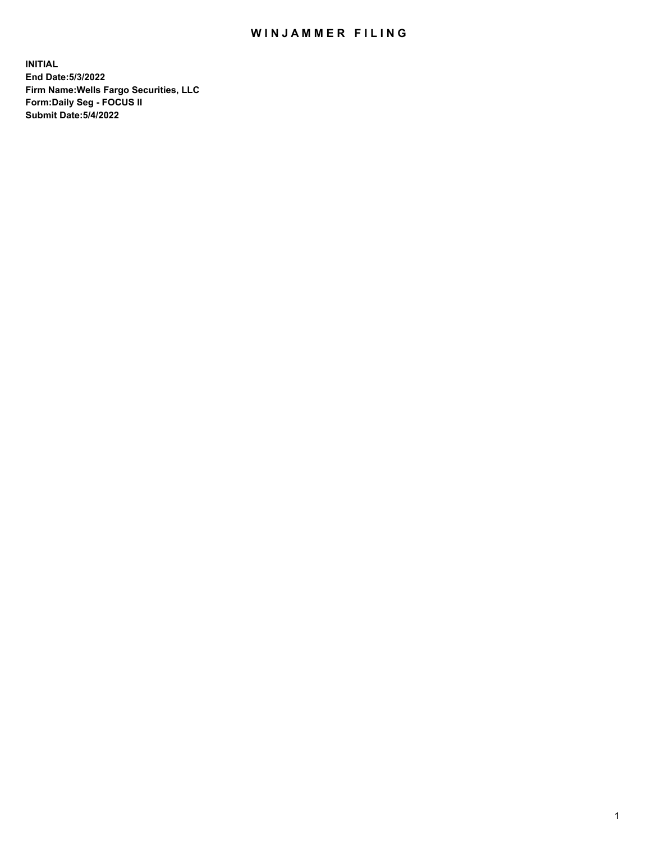## WIN JAMMER FILING

**INITIAL End Date:5/3/2022 Firm Name:Wells Fargo Securities, LLC Form:Daily Seg - FOCUS II Submit Date:5/4/2022**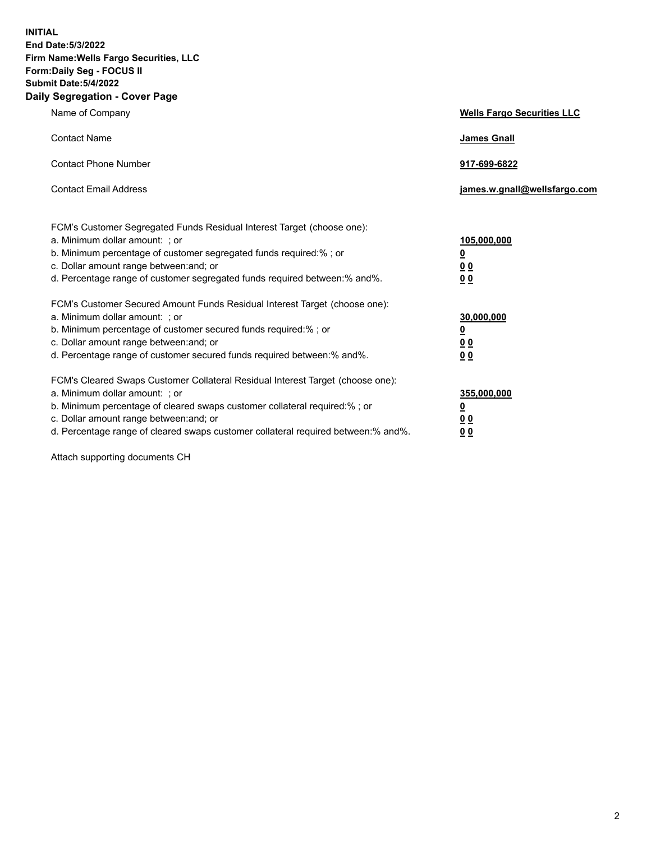**INITIAL End Date:5/3/2022 Firm Name:Wells Fargo Securities, LLC Form:Daily Seg - FOCUS II Submit Date:5/4/2022 Daily Segregation - Cover Page**

| Name of Company                                                                                                                                                                                                                                                                                                               | <b>Wells Fargo Securities LLC</b>                          |
|-------------------------------------------------------------------------------------------------------------------------------------------------------------------------------------------------------------------------------------------------------------------------------------------------------------------------------|------------------------------------------------------------|
| <b>Contact Name</b>                                                                                                                                                                                                                                                                                                           | <b>James Gnall</b>                                         |
| <b>Contact Phone Number</b>                                                                                                                                                                                                                                                                                                   | 917-699-6822                                               |
| <b>Contact Email Address</b>                                                                                                                                                                                                                                                                                                  | james.w.gnall@wellsfargo.com                               |
| FCM's Customer Segregated Funds Residual Interest Target (choose one):<br>a. Minimum dollar amount: ; or<br>b. Minimum percentage of customer segregated funds required:% ; or<br>c. Dollar amount range between: and; or<br>d. Percentage range of customer segregated funds required between:% and%.                        | 105,000,000<br><u>0</u><br>0 <sub>0</sub><br>00            |
| FCM's Customer Secured Amount Funds Residual Interest Target (choose one):<br>a. Minimum dollar amount: ; or<br>b. Minimum percentage of customer secured funds required:%; or<br>c. Dollar amount range between: and; or<br>d. Percentage range of customer secured funds required between: % and %.                         | 30,000,000<br><u>0</u><br>0 <sub>0</sub><br>0 <sub>0</sub> |
| FCM's Cleared Swaps Customer Collateral Residual Interest Target (choose one):<br>a. Minimum dollar amount: ; or<br>b. Minimum percentage of cleared swaps customer collateral required:%; or<br>c. Dollar amount range between: and; or<br>d. Percentage range of cleared swaps customer collateral required between:% and%. | 355,000,000<br><u>0</u><br>00<br>00                        |

Attach supporting documents CH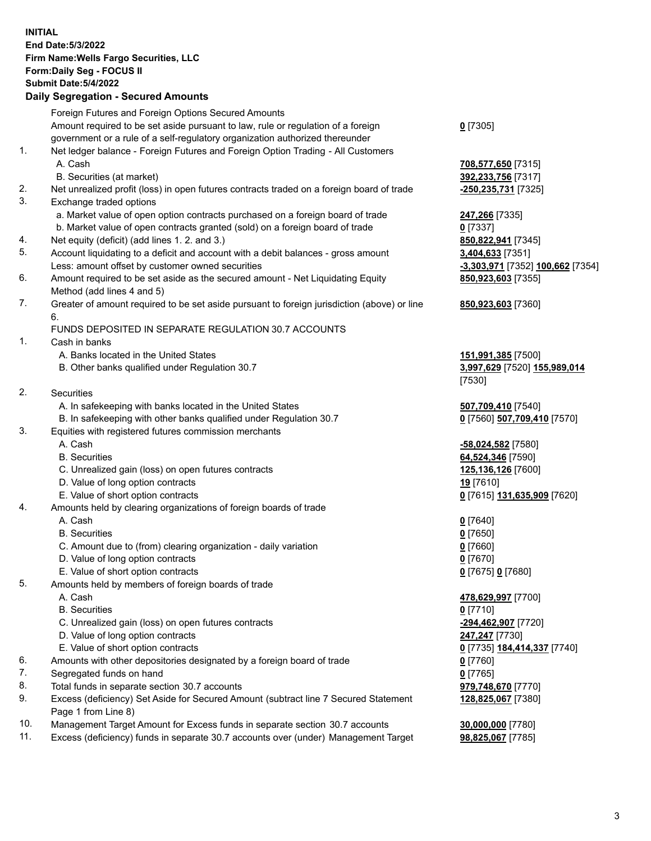**INITIAL End Date:5/3/2022 Firm Name:Wells Fargo Securities, LLC Form:Daily Seg - FOCUS II Submit Date:5/4/2022 Daily Segregation - Secured Amounts** Foreign Futures and Foreign Options Secured Amounts Amount required to be set aside pursuant to law, rule or regulation of a foreign

- government or a rule of a self-regulatory organization authorized thereunder
- 1. Net ledger balance Foreign Futures and Foreign Option Trading All Customers A. Cash **708,577,650** [7315]
	- B. Securities (at market) **392,233,756** [7317]
- 2. Net unrealized profit (loss) in open futures contracts traded on a foreign board of trade **-250,235,731** [7325]
- 3. Exchange traded options
	- a. Market value of open option contracts purchased on a foreign board of trade **247,266** [7335]
	- b. Market value of open contracts granted (sold) on a foreign board of trade **0** [7337]
- 4. Net equity (deficit) (add lines 1. 2. and 3.) **850,822,941** [7345]
- 5. Account liquidating to a deficit and account with a debit balances gross amount **3,404,633** [7351] Less: amount offset by customer owned securities **-3,303,971** [7352] **100,662** [7354]
- 6. Amount required to be set aside as the secured amount Net Liquidating Equity Method (add lines 4 and 5)
- 7. Greater of amount required to be set aside pursuant to foreign jurisdiction (above) or line 6.

## FUNDS DEPOSITED IN SEPARATE REGULATION 30.7 ACCOUNTS

- 1. Cash in banks
	- A. Banks located in the United States **151,991,385** [7500]
	- B. Other banks qualified under Regulation 30.7 **3,997,629** [7520] **155,989,014**
- 2. Securities
	- A. In safekeeping with banks located in the United States **507,709,410** [7540]
- B. In safekeeping with other banks qualified under Regulation 30.7 **0** [7560] **507,709,410** [7570]
- 3. Equities with registered futures commission merchants
	-
	-
	- C. Unrealized gain (loss) on open futures contracts **125,136,126** [7600]
	- D. Value of long option contracts **19** [7610]
	- E. Value of short option contracts **0** [7615] **131,635,909** [7620]
- 4. Amounts held by clearing organizations of foreign boards of trade
	- A. Cash **0** [7640]
	- B. Securities **0** [7650]
	- C. Amount due to (from) clearing organization daily variation **0** [7660]
	- D. Value of long option contracts **0** [7670]
	- E. Value of short option contracts **0** [7675] **0** [7680]
- 5. Amounts held by members of foreign boards of trade
	-
	- B. Securities **0** [7710]
	- C. Unrealized gain (loss) on open futures contracts **-294,462,907** [7720]
	- D. Value of long option contracts **247,247** [7730]
	- E. Value of short option contracts **0** [7735] **184,414,337** [7740]
- 6. Amounts with other depositories designated by a foreign board of trade **0** [7760]
- 7. Segregated funds on hand **0** [7765]
- 8. Total funds in separate section 30.7 accounts **979,748,670** [7770]
- 9. Excess (deficiency) Set Aside for Secured Amount (subtract line 7 Secured Statement Page 1 from Line 8)
- 10. Management Target Amount for Excess funds in separate section 30.7 accounts **30,000,000** [7780]
- 11. Excess (deficiency) funds in separate 30.7 accounts over (under) Management Target **98,825,067** [7785]

**0** [7305]

**850,923,603** [7355]

## **850,923,603** [7360]

[7530]

 A. Cash **-58,024,582** [7580] B. Securities **64,524,346** [7590]

 A. Cash **478,629,997** [7700] **128,825,067** [7380]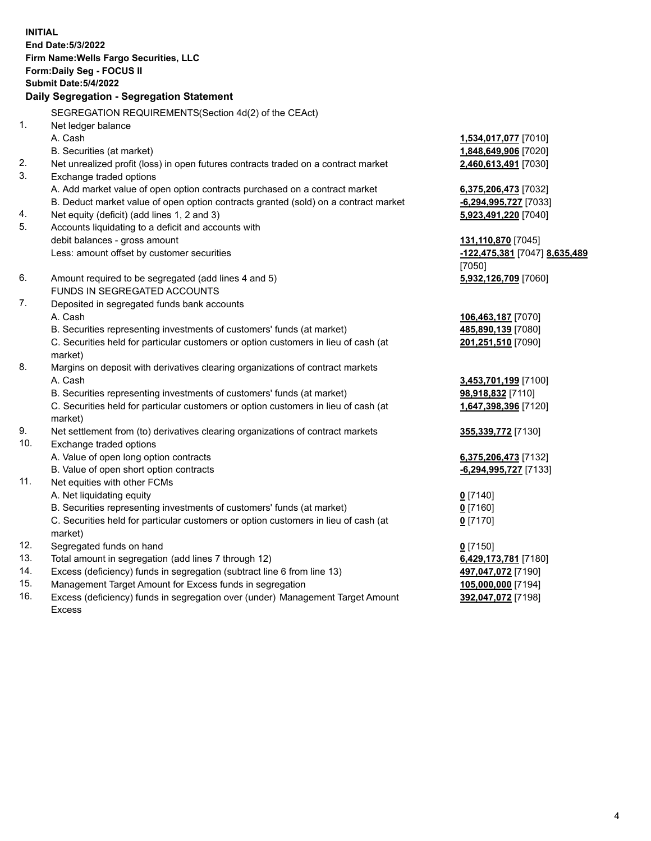**INITIAL End Date:5/3/2022 Firm Name:Wells Fargo Securities, LLC Form:Daily Seg - FOCUS II Submit Date:5/4/2022 Daily Segregation - Segregation Statement** SEGREGATION REQUIREMENTS(Section 4d(2) of the CEAct) 1. Net ledger balance A. Cash **1,534,017,077** [7010] B. Securities (at market) **1,848,649,906** [7020] 2. Net unrealized profit (loss) in open futures contracts traded on a contract market **2,460,613,491** [7030] 3. Exchange traded options A. Add market value of open option contracts purchased on a contract market **6,375,206,473** [7032] B. Deduct market value of open option contracts granted (sold) on a contract market **-6,294,995,727** [7033] 4. Net equity (deficit) (add lines 1, 2 and 3) **5,923,491,220** [7040] 5. Accounts liquidating to a deficit and accounts with debit balances - gross amount **131,110,870** [7045] Less: amount offset by customer securities **-122,475,381** [7047] **8,635,489** [7050] 6. Amount required to be segregated (add lines 4 and 5) **5,932,126,709** [7060] FUNDS IN SEGREGATED ACCOUNTS 7. Deposited in segregated funds bank accounts A. Cash **106,463,187** [7070] B. Securities representing investments of customers' funds (at market) **485,890,139** [7080] C. Securities held for particular customers or option customers in lieu of cash (at market) **201,251,510** [7090] 8. Margins on deposit with derivatives clearing organizations of contract markets A. Cash **3,453,701,199** [7100] B. Securities representing investments of customers' funds (at market) **98,918,832** [7110] C. Securities held for particular customers or option customers in lieu of cash (at market) **1,647,398,396** [7120] 9. Net settlement from (to) derivatives clearing organizations of contract markets **355,339,772** [7130] 10. Exchange traded options A. Value of open long option contracts **6,375,206,473** [7132] B. Value of open short option contracts **and the set of our original state of the set of open** short option contracts 11. Net equities with other FCMs A. Net liquidating equity **0** [7140] B. Securities representing investments of customers' funds (at market) **0** [7160] C. Securities held for particular customers or option customers in lieu of cash (at market) **0** [7170] 12. Segregated funds on hand **0** [7150] 13. Total amount in segregation (add lines 7 through 12) **6,429,173,781** [7180] 14. Excess (deficiency) funds in segregation (subtract line 6 from line 13) **497,047,072** [7190] 15. Management Target Amount for Excess funds in segregation **105,000,000** [7194] **392,047,072** [7198]

16. Excess (deficiency) funds in segregation over (under) Management Target Amount Excess